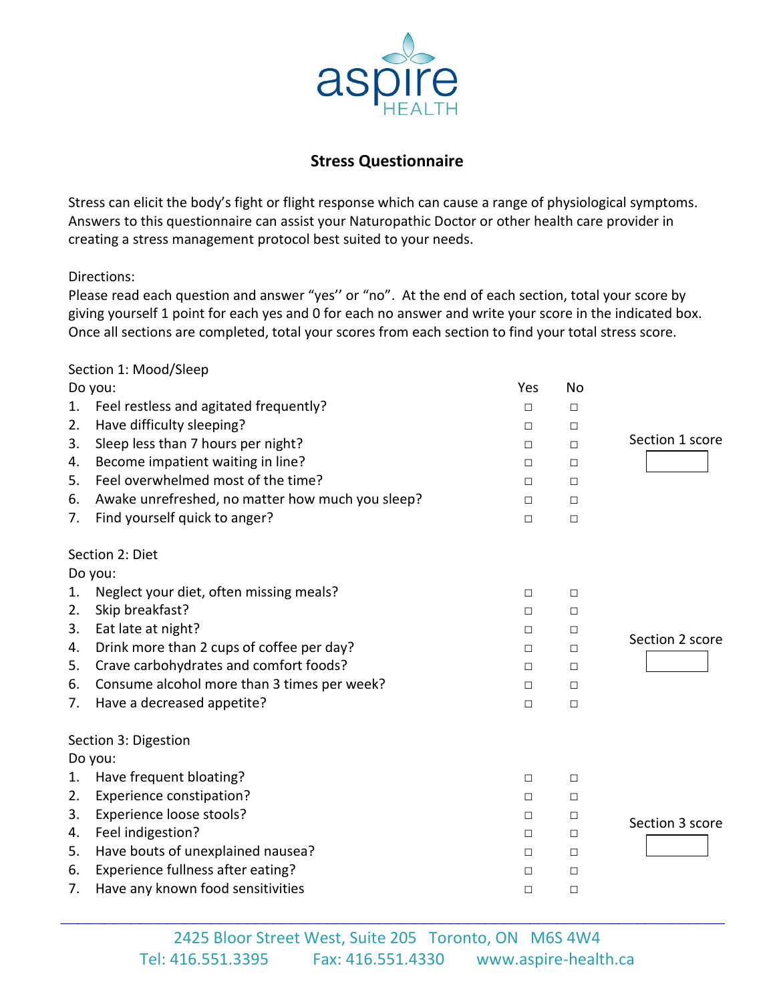

## **Stress Questionnaire**

Stress can elicit the body's fight or flight response which can cause a range of physiological symptoms. Answers to this questionnaire can assist your Naturopathic Doctor or other health care provider in creating a stress management protocol best suited to your needs.

Directions:

Please read each question and answer "yes'' or "no". At the end of each section, total your score by giving yourself 1 point for each yes and 0 for each no answer and write your score in the indicated box. Once all sections are completed, total your scores from each section to find your total stress score.

## Section 1: Mood/Sleep

| Do you:              |                                                  | Yes    | <b>No</b> |                 |  |  |
|----------------------|--------------------------------------------------|--------|-----------|-----------------|--|--|
| 1.                   | Feel restless and agitated frequently?           | □      | □         |                 |  |  |
| 2.                   | Have difficulty sleeping?                        | $\Box$ | $\Box$    |                 |  |  |
| 3.                   | Sleep less than 7 hours per night?               | $\Box$ | $\Box$    | Section 1 score |  |  |
| 4.                   | Become impatient waiting in line?                | □      | □         |                 |  |  |
| 5.                   | Feel overwhelmed most of the time?               | $\Box$ | □         |                 |  |  |
| 6.                   | Awake unrefreshed, no matter how much you sleep? | □      | □         |                 |  |  |
| 7.                   | Find yourself quick to anger?                    | $\Box$ | $\Box$    |                 |  |  |
| Section 2: Diet      |                                                  |        |           |                 |  |  |
|                      | Do you:                                          |        |           |                 |  |  |
| 1.                   | Neglect your diet, often missing meals?          | □      | $\Box$    |                 |  |  |
| 2.                   | Skip breakfast?                                  | $\Box$ | $\Box$    |                 |  |  |
| 3.                   | Eat late at night?                               | $\Box$ | $\Box$    | Section 2 score |  |  |
| 4.                   | Drink more than 2 cups of coffee per day?        | □      | □         |                 |  |  |
| 5.                   | Crave carbohydrates and comfort foods?           | □      | $\Box$    |                 |  |  |
| 6.                   | Consume alcohol more than 3 times per week?      | $\Box$ | $\Box$    |                 |  |  |
| 7.                   | Have a decreased appetite?                       | $\Box$ | $\Box$    |                 |  |  |
| Section 3: Digestion |                                                  |        |           |                 |  |  |
|                      | Do you:                                          |        |           |                 |  |  |
| 1.                   | Have frequent bloating?                          | □      | □         |                 |  |  |
| 2.                   | Experience constipation?                         | □      | □         |                 |  |  |
| 3.                   | Experience loose stools?                         | □      | $\Box$    | Section 3 score |  |  |
| 4.                   | Feel indigestion?                                | □      | □         |                 |  |  |
| 5.                   | Have bouts of unexplained nausea?                | $\Box$ | □         |                 |  |  |
| 6.                   | Experience fullness after eating?                | □      | □         |                 |  |  |
| 7.                   | Have any known food sensitivities                | $\Box$ | □         |                 |  |  |

\_\_\_\_\_\_\_\_\_\_\_\_\_\_\_\_\_\_\_\_\_\_\_\_\_\_\_\_\_\_\_\_\_\_\_\_\_\_\_\_\_\_\_\_\_\_\_\_\_\_\_\_\_\_\_\_\_\_\_\_\_\_\_\_\_\_\_\_\_\_\_\_\_\_\_